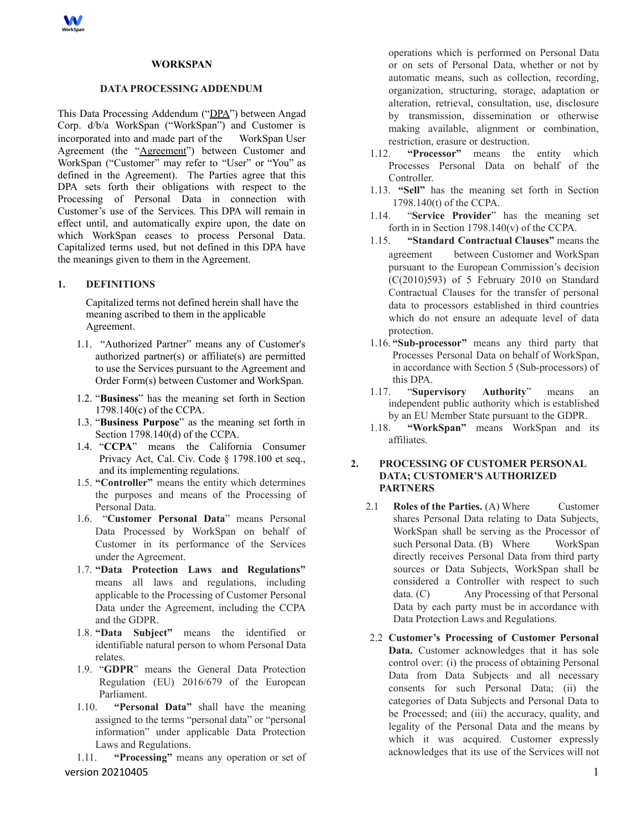

### **WORKSPAN**

#### **DATA PROCESSING ADDENDUM**

This Data Processing Addendum ("DPA") between Angad Corp. d/b/a WorkSpan ("WorkSpan") and Customer is incorporated into and made part of the WorkSpan User Agreement (the "Agreement") between Customer and WorkSpan ("Customer" may refer to "User" or "You" as defined in the Agreement). The Parties agree that this DPA sets forth their obligations with respect to the Processing of Personal Data in connection with Customer's use of the Services. This DPA will remain in effect until, and automatically expire upon, the date on which WorkSpan ceases to process Personal Data. Capitalized terms used, but not defined in this DPA have the meanings given to them in the Agreement.

## **1. DEFINITIONS**

Capitalized terms not defined herein shall have the meaning ascribed to them in the applicable Agreement.

- 1.1. "Authorized Partner" means any of Customer's authorized partner(s) or affiliate(s) are permitted to use the Services pursuant to the Agreement and Order Form(s) between Customer and WorkSpan.
- 1.2. "**Business**" has the meaning set forth in Section 1798.140(c) of the CCPA.
- 1.3. "**Business Purpose**" as the meaning set forth in Section 1798.140(d) of the CCPA.
- 1.4. "**CCPA**" means the California Consumer Privacy Act, Cal. Civ. Code § 1798.100 et seq., and its implementing regulations.
- 1.5. **"Controller"** means the entity which determines the purposes and means of the Processing of Personal Data.
- 1.6. "**Customer Personal Data**" means Personal Data Processed by WorkSpan on behalf of Customer in its performance of the Services under the Agreement.
- 1.7. **"Data Protection Laws and Regulations"** means all laws and regulations, including applicable to the Processing of Customer Personal Data under the Agreement, including the CCPA and the GDPR.
- 1.8. **"Data Subject"** means the identified or identifiable natural person to whom Personal Data relates.
- 1.9. "**GDPR**" means the General Data Protection Regulation (EU) 2016/679 of the European Parliament.
- 1.10. **"Personal Data"** shall have the meaning assigned to the terms "personal data" or "personal information" under applicable Data Protection Laws and Regulations.

1.11. **"Processing"** means any operation or set of version 20210405 1 and 20210405 1 and 20210405 1 and 20210405 1 and 20210405 1 and 20210405 1 and 20210405 1 and 20210405 1 and 20210405 1 and 20210405 1 and 20210405 1 and 20210405 1 and 20210405 1 and 20210405 1 and 2021

operations which is performed on Personal Data or on sets of Personal Data, whether or not by automatic means, such as collection, recording, organization, structuring, storage, adaptation or alteration, retrieval, consultation, use, disclosure by transmission, dissemination or otherwise making available, alignment or combination, restriction, erasure or destruction.

- 1.12. **"Processor"** means the entity which Processes Personal Data on behalf of the Controller.
- 1.13. **"Sell"** has the meaning set forth in Section 1798.140(t) of the CCPA.
- 1.14. "**Service Provider**" has the meaning set forth in in Section 1798.140(v) of the CCPA.
- 1.15. **"Standard Contractual Clauses"** means the agreement between Customer and WorkSpan pursuant to the European Commission's decision (C(2010)593) of 5 February 2010 on Standard Contractual Clauses for the transfer of personal data to processors established in third countries which do not ensure an adequate level of data protection.
- 1.16. **"Sub-processor"** means any third party that Processes Personal Data on behalf of WorkSpan, in accordance with Section 5 (Sub-processors) of this DPA.
- 1.17. "**Supervisory Authority**" means an independent public authority which is established by an EU Member State pursuant to the GDPR.
- 1.18. **"WorkSpan"** means WorkSpan and its affiliates.

# **2. PROCESSING OF CUSTOMER PERSONAL DATA; CUSTOMER'S AUTHORIZED PARTNERS**

- 2.1 **Roles of the Parties.** (A) Where Customer shares Personal Data relating to Data Subjects, WorkSpan shall be serving as the Processor of such Personal Data. (B) Where WorkSpan directly receives Personal Data from third party sources or Data Subjects, WorkSpan shall be considered a Controller with respect to such data. (C) Any Processing of that Personal Data by each party must be in accordance with Data Protection Laws and Regulations.
- 2.2 **Customer's Processing of Customer Personal Data.** Customer acknowledges that it has sole control over: (i) the process of obtaining Personal Data from Data Subjects and all necessary consents for such Personal Data; (ii) the categories of Data Subjects and Personal Data to be Processed; and (iii) the accuracy, quality, and legality of the Personal Data and the means by which it was acquired. Customer expressly acknowledges that its use of the Services will not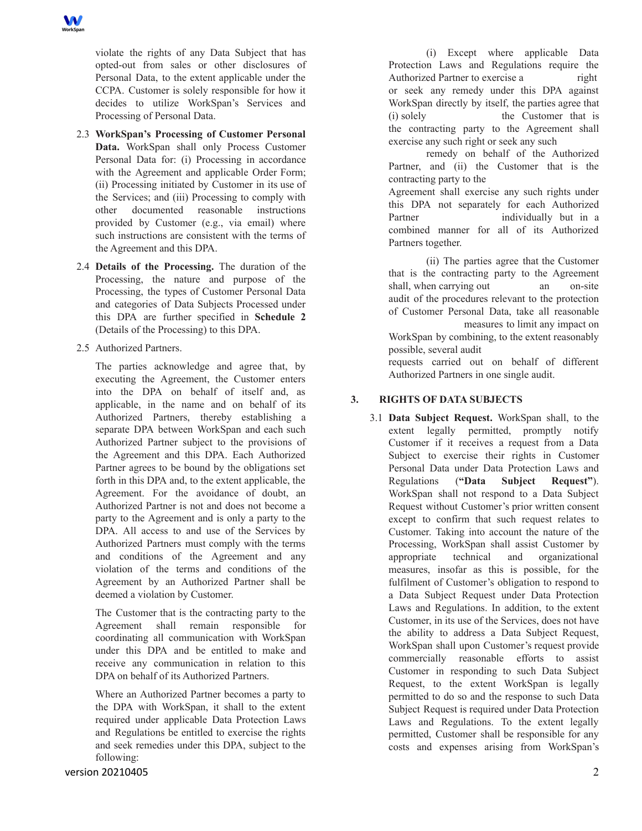violate the rights of any Data Subject that has opted-out from sales or other disclosures of Personal Data, to the extent applicable under the CCPA. Customer is solely responsible for how it decides to utilize WorkSpan's Services and Processing of Personal Data.

- 2.3 **WorkSpan's Processing of Customer Personal Data.** WorkSpan shall only Process Customer Personal Data for: (i) Processing in accordance with the Agreement and applicable Order Form; (ii) Processing initiated by Customer in its use of the Services; and (iii) Processing to comply with other documented reasonable instructions provided by Customer (e.g., via email) where such instructions are consistent with the terms of the Agreement and this DPA.
- 2.4 **Details of the Processing.** The duration of the Processing, the nature and purpose of the Processing, the types of Customer Personal Data and categories of Data Subjects Processed under this DPA are further specified in **Schedule 2** (Details of the Processing) to this DPA.
- 2.5 Authorized Partners.

The parties acknowledge and agree that, by executing the Agreement, the Customer enters into the DPA on behalf of itself and, as applicable, in the name and on behalf of its Authorized Partners, thereby establishing a separate DPA between WorkSpan and each such Authorized Partner subject to the provisions of the Agreement and this DPA. Each Authorized Partner agrees to be bound by the obligations set forth in this DPA and, to the extent applicable, the Agreement. For the avoidance of doubt, an Authorized Partner is not and does not become a party to the Agreement and is only a party to the DPA. All access to and use of the Services by Authorized Partners must comply with the terms and conditions of the Agreement and any violation of the terms and conditions of the Agreement by an Authorized Partner shall be deemed a violation by Customer.

The Customer that is the contracting party to the Agreement shall remain responsible for coordinating all communication with WorkSpan under this DPA and be entitled to make and receive any communication in relation to this DPA on behalf of its Authorized Partners.

Where an Authorized Partner becomes a party to the DPA with WorkSpan, it shall to the extent required under applicable Data Protection Laws and Regulations be entitled to exercise the rights and seek remedies under this DPA, subject to the following:

(i) Except where applicable Data Protection Laws and Regulations require the Authorized Partner to exercise a right or seek any remedy under this DPA against WorkSpan directly by itself, the parties agree that (i) solely the Customer that is the contracting party to the Agreement shall exercise any such right or seek any such

remedy on behalf of the Authorized Partner, and (ii) the Customer that is the contracting party to the

Agreement shall exercise any such rights under this DPA not separately for each Authorized Partner individually but in a combined manner for all of its Authorized Partners together.

(ii) The parties agree that the Customer that is the contracting party to the Agreement shall, when carrying out an on-site audit of the procedures relevant to the protection of Customer Personal Data, take all reasonable measures to limit any impact on WorkSpan by combining, to the extent reasonably possible, several audit

requests carried out on behalf of different Authorized Partners in one single audit.

# **3. RIGHTS OF DATA SUBJECTS**

3.1 **Data Subject Request.** WorkSpan shall, to the extent legally permitted, promptly notify Customer if it receives a request from a Data Subject to exercise their rights in Customer Personal Data under Data Protection Laws and Regulations (**"Data Subject Request"**). WorkSpan shall not respond to a Data Subject Request without Customer's prior written consent except to confirm that such request relates to Customer. Taking into account the nature of the Processing, WorkSpan shall assist Customer by appropriate technical and organizational measures, insofar as this is possible, for the fulfilment of Customer's obligation to respond to a Data Subject Request under Data Protection Laws and Regulations. In addition, to the extent Customer, in its use of the Services, does not have the ability to address a Data Subject Request, WorkSpan shall upon Customer's request provide commercially reasonable efforts to assist Customer in responding to such Data Subject Request, to the extent WorkSpan is legally permitted to do so and the response to such Data Subject Request is required under Data Protection Laws and Regulations. To the extent legally permitted, Customer shall be responsible for any costs and expenses arising from WorkSpan's

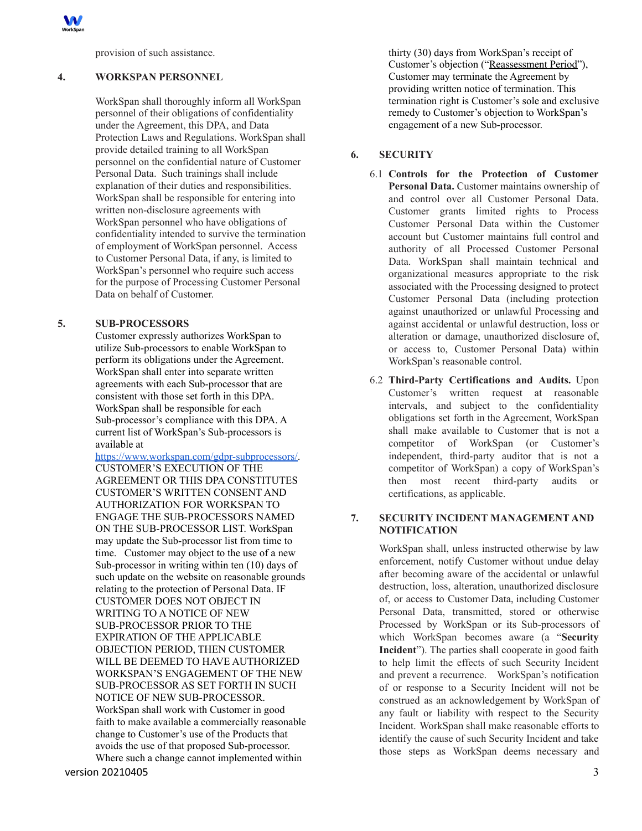

provision of such assistance.

### **4. WORKSPAN PERSONNEL**

WorkSpan shall thoroughly inform all WorkSpan personnel of their obligations of confidentiality under the Agreement, this DPA, and Data Protection Laws and Regulations. WorkSpan shall provide detailed training to all WorkSpan personnel on the confidential nature of Customer Personal Data. Such trainings shall include explanation of their duties and responsibilities. WorkSpan shall be responsible for entering into written non-disclosure agreements with WorkSpan personnel who have obligations of confidentiality intended to survive the termination of employment of WorkSpan personnel. Access to Customer Personal Data, if any, is limited to WorkSpan's personnel who require such access for the purpose of Processing Customer Personal Data on behalf of Customer.

# **5. SUB-PROCESSORS**

Customer expressly authorizes WorkSpan to utilize Sub-processors to enable WorkSpan to perform its obligations under the Agreement. WorkSpan shall enter into separate written agreements with each Sub-processor that are consistent with those set forth in this DPA. WorkSpan shall be responsible for each Sub-processor's compliance with this DPA. A current list of WorkSpan's Sub-processors is available at

[https://www.workspan.com/gdpr-subprocessors/.](https://www.workspan.com/gdpr-subprocessors/) CUSTOMER'S EXECUTION OF THE AGREEMENT OR THIS DPA CONSTITUTES CUSTOMER'S WRITTEN CONSENT AND AUTHORIZATION FOR WORKSPAN TO ENGAGE THE SUB-PROCESSORS NAMED ON THE SUB-PROCESSOR LIST. WorkSpan may update the Sub-processor list from time to time. Customer may object to the use of a new Sub-processor in writing within ten (10) days of such update on the website on reasonable grounds relating to the protection of Personal Data. IF CUSTOMER DOES NOT OBJECT IN WRITING TO A NOTICE OF NEW SUB-PROCESSOR PRIOR TO THE EXPIRATION OF THE APPLICABLE OBJECTION PERIOD, THEN CUSTOMER WILL BE DEEMED TO HAVE AUTHORIZED WORKSPAN'S ENGAGEMENT OF THE NEW SUB-PROCESSOR AS SET FORTH IN SUCH NOTICE OF NEW SUB-PROCESSOR. WorkSpan shall work with Customer in good faith to make available a commercially reasonable change to Customer's use of the Products that avoids the use of that proposed Sub-processor. Where such a change cannot implemented within

thirty (30) days from WorkSpan's receipt of Customer's objection ("Reassessment Period"), Customer may terminate the Agreement by providing written notice of termination. This termination right is Customer's sole and exclusive remedy to Customer's objection to WorkSpan's engagement of a new Sub-processor.

# **6. SECURITY**

- 6.1 **Controls for the Protection of Customer Personal Data.** Customer maintains ownership of and control over all Customer Personal Data. Customer grants limited rights to Process Customer Personal Data within the Customer account but Customer maintains full control and authority of all Processed Customer Personal Data. WorkSpan shall maintain technical and organizational measures appropriate to the risk associated with the Processing designed to protect Customer Personal Data (including protection against unauthorized or unlawful Processing and against accidental or unlawful destruction, loss or alteration or damage, unauthorized disclosure of, or access to, Customer Personal Data) within WorkSpan's reasonable control.
- 6.2 **Third-Party Certifications and Audits.** Upon Customer's written request at reasonable intervals, and subject to the confidentiality obligations set forth in the Agreement, WorkSpan shall make available to Customer that is not a competitor of WorkSpan (or Customer's independent, third-party auditor that is not a competitor of WorkSpan) a copy of WorkSpan's then most recent third-party audits or certifications, as applicable.

# **7. SECURITY INCIDENT MANAGEMENT AND NOTIFICATION**

WorkSpan shall, unless instructed otherwise by law enforcement, notify Customer without undue delay after becoming aware of the accidental or unlawful destruction, loss, alteration, unauthorized disclosure of, or access to Customer Data, including Customer Personal Data, transmitted, stored or otherwise Processed by WorkSpan or its Sub-processors of which WorkSpan becomes aware (a "**Security Incident**"). The parties shall cooperate in good faith to help limit the effects of such Security Incident and prevent a recurrence. WorkSpan's notification of or response to a Security Incident will not be construed as an acknowledgement by WorkSpan of any fault or liability with respect to the Security Incident. WorkSpan shall make reasonable efforts to identify the cause of such Security Incident and take those steps as WorkSpan deems necessary and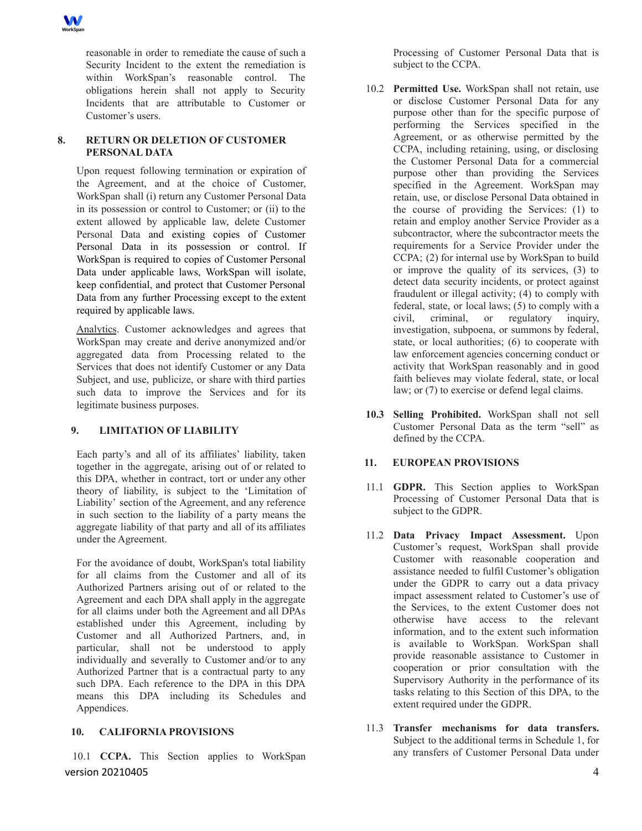

reasonable in order to remediate the cause of such a Security Incident to the extent the remediation is within WorkSpan's reasonable control. The obligations herein shall not apply to Security Incidents that are attributable to Customer or Customer's users.

# **8. RETURN OR DELETION OF CUSTOMER PERSONAL DATA**

Upon request following termination or expiration of the Agreement, and at the choice of Customer, WorkSpan shall (i) return any Customer Personal Data in its possession or control to Customer; or (ii) to the extent allowed by applicable law, delete Customer Personal Data and existing copies of Customer Personal Data in its possession or control. If WorkSpan is required to copies of Customer Personal Data under applicable laws, WorkSpan will isolate, keep confidential, and protect that Customer Personal Data from any further Processing except to the extent required by applicable laws.

Analytics. Customer acknowledges and agrees that WorkSpan may create and derive anonymized and/or aggregated data from Processing related to the Services that does not identify Customer or any Data Subject, and use, publicize, or share with third parties such data to improve the Services and for its legitimate business purposes.

# **9. LIMITATION OF LIABILITY**

Each party's and all of its affiliates' liability, taken together in the aggregate, arising out of or related to this DPA, whether in contract, tort or under any other theory of liability, is subject to the 'Limitation of Liability' section of the Agreement, and any reference in such section to the liability of a party means the aggregate liability of that party and all of its affiliates under the Agreement.

For the avoidance of doubt, WorkSpan's total liability for all claims from the Customer and all of its Authorized Partners arising out of or related to the Agreement and each DPA shall apply in the aggregate for all claims under both the Agreement and all DPAs established under this Agreement, including by Customer and all Authorized Partners, and, in particular, shall not be understood to apply individually and severally to Customer and/or to any Authorized Partner that is a contractual party to any such DPA. Each reference to the DPA in this DPA means this DPA including its Schedules and Appendices.

# **10. CALIFORNIA PROVISIONS**

10.1 **CCPA.** This Section applies to WorkSpan version 20210405 4 and 20210405 4 and 20210405 4 and 20210405 4 and 20210405 4 and 20210405 4 and 20210405 4 and 20210405 4 and 20210405 4 and 20210405 4 and 20210405 4 and 20210405 4 and 20210405 4 and 20210405 4 and 2021

Processing of Customer Personal Data that is subject to the CCPA.

- 10.2 **Permitted Use.** WorkSpan shall not retain, use or disclose Customer Personal Data for any purpose other than for the specific purpose of performing the Services specified in the Agreement, or as otherwise permitted by the CCPA, including retaining, using, or disclosing the Customer Personal Data for a commercial purpose other than providing the Services specified in the Agreement. WorkSpan may retain, use, or disclose Personal Data obtained in the course of providing the Services: (1) to retain and employ another Service Provider as a subcontractor, where the subcontractor meets the requirements for a Service Provider under the CCPA; (2) for internal use by WorkSpan to build or improve the quality of its services, (3) to detect data security incidents, or protect against fraudulent or illegal activity; (4) to comply with federal, state, or local laws;  $(5)$  to comply with a civil, criminal, or regulatory inquiry, investigation, subpoena, or summons by federal, state, or local authorities; (6) to cooperate with law enforcement agencies concerning conduct or activity that WorkSpan reasonably and in good faith believes may violate federal, state, or local law; or (7) to exercise or defend legal claims.
- **10.3 Selling Prohibited.** WorkSpan shall not sell Customer Personal Data as the term "sell" as defined by the CCPA.

# **11. EUROPEAN PROVISIONS**

- 11.1 **GDPR.** This Section applies to WorkSpan Processing of Customer Personal Data that is subject to the GDPR.
- 11.2 **Data Privacy Impact Assessment.** Upon Customer's request, WorkSpan shall provide Customer with reasonable cooperation and assistance needed to fulfil Customer's obligation under the GDPR to carry out a data privacy impact assessment related to Customer's use of the Services, to the extent Customer does not otherwise have access to the relevant information, and to the extent such information is available to WorkSpan. WorkSpan shall provide reasonable assistance to Customer in cooperation or prior consultation with the Supervisory Authority in the performance of its tasks relating to this Section of this DPA, to the extent required under the GDPR.
- 11.3 **Transfer mechanisms for data transfers.** Subject to the additional terms in Schedule 1, for any transfers of Customer Personal Data under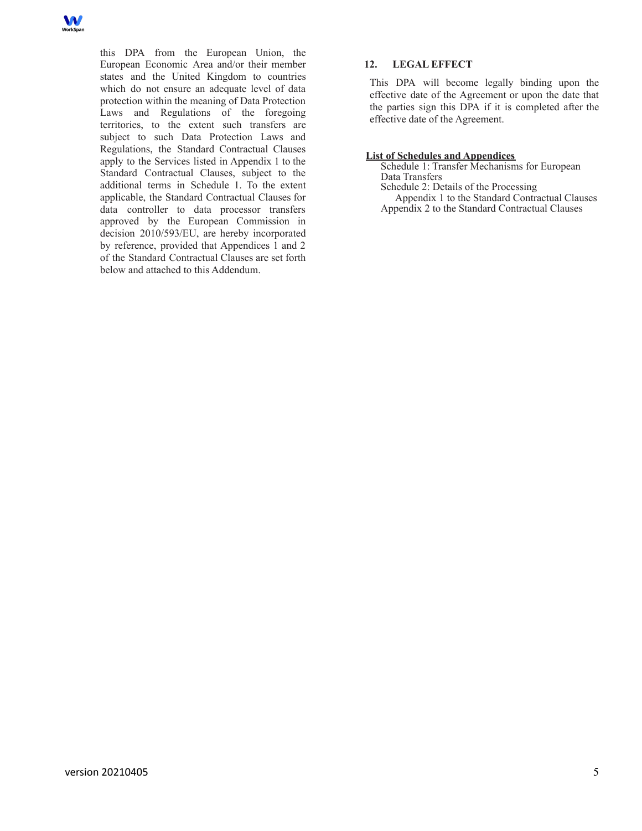

this DPA from the European Union, the European Economic Area and/or their member states and the United Kingdom to countries which do not ensure an adequate level of data protection within the meaning of Data Protection Laws and Regulations of the foregoing territories, to the extent such transfers are subject to such Data Protection Laws and Regulations, the Standard Contractual Clauses apply to the Services listed in Appendix 1 to the Standard Contractual Clauses, subject to the additional terms in Schedule 1. To the extent applicable, the Standard Contractual Clauses for data controller to data processor transfers approved by the European Commission in decision 2010/593/EU, are hereby incorporated by reference, provided that Appendices 1 and 2 of the Standard Contractual Clauses are set forth below and attached to this Addendum.

## **12. LEGAL EFFECT**

This DPA will become legally binding upon the effective date of the Agreement or upon the date that the parties sign this DPA if it is completed after the effective date of the Agreement.

## **List of Schedules and Appendices**

Schedule 1: Transfer Mechanisms for European Data Transfers

Schedule 2: Details of the Processing Appendix 1 to the Standard Contractual Clauses Appendix 2 to the Standard Contractual Clauses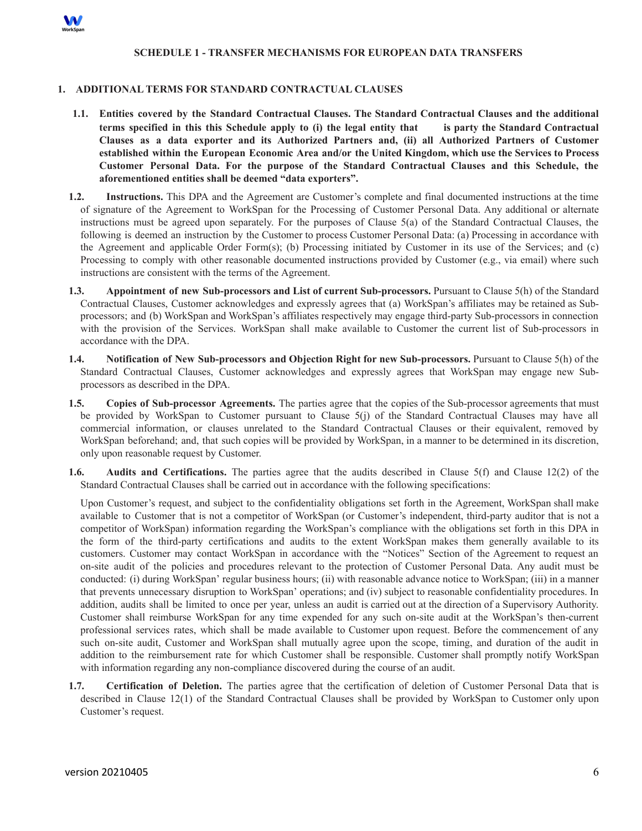

## **SCHEDULE 1 - TRANSFER MECHANISMS FOR EUROPEAN DATA TRANSFERS**

## **1. ADDITIONAL TERMS FOR STANDARD CONTRACTUAL CLAUSES**

- **1.1. Entities covered by the Standard Contractual Clauses. The Standard Contractual Clauses and the additional** terms specified in this this Schedule apply to (i) the legal entity that is party the Standard Contractual **Clauses as a data exporter and its Authorized Partners and, (ii) all Authorized Partners of Customer established within the European Economic Area and/or the United Kingdom, which use the Services to Process Customer Personal Data. For the purpose of the Standard Contractual Clauses and this Schedule, the aforementioned entities shall be deemed "data exporters".**
- **1.2. Instructions.** This DPA and the Agreement are Customer's complete and final documented instructions at the time of signature of the Agreement to WorkSpan for the Processing of Customer Personal Data. Any additional or alternate instructions must be agreed upon separately. For the purposes of Clause 5(a) of the Standard Contractual Clauses, the following is deemed an instruction by the Customer to process Customer Personal Data: (a) Processing in accordance with the Agreement and applicable Order Form(s); (b) Processing initiated by Customer in its use of the Services; and (c) Processing to comply with other reasonable documented instructions provided by Customer (e.g., via email) where such instructions are consistent with the terms of the Agreement.
- **1.3. Appointment of new Sub-processors and List of current Sub-processors.** Pursuant to Clause 5(h) of the Standard Contractual Clauses, Customer acknowledges and expressly agrees that (a) WorkSpan's affiliates may be retained as Subprocessors; and (b) WorkSpan and WorkSpan's affiliates respectively may engage third-party Sub-processors in connection with the provision of the Services. WorkSpan shall make available to Customer the current list of Sub-processors in accordance with the DPA.
- **1.4. Notification of New Sub-processors and Objection Right for new Sub-processors.** Pursuant to Clause 5(h) of the Standard Contractual Clauses, Customer acknowledges and expressly agrees that WorkSpan may engage new Subprocessors as described in the DPA.
- **1.5. Copies of Sub-processor Agreements.** The parties agree that the copies of the Sub-processor agreements that must be provided by WorkSpan to Customer pursuant to Clause 5(j) of the Standard Contractual Clauses may have all commercial information, or clauses unrelated to the Standard Contractual Clauses or their equivalent, removed by WorkSpan beforehand; and, that such copies will be provided by WorkSpan, in a manner to be determined in its discretion, only upon reasonable request by Customer.
- **1.6. Audits and Certifications.** The parties agree that the audits described in Clause 5(f) and Clause 12(2) of the Standard Contractual Clauses shall be carried out in accordance with the following specifications:

Upon Customer's request, and subject to the confidentiality obligations set forth in the Agreement, WorkSpan shall make available to Customer that is not a competitor of WorkSpan (or Customer's independent, third-party auditor that is not a competitor of WorkSpan) information regarding the WorkSpan's compliance with the obligations set forth in this DPA in the form of the third-party certifications and audits to the extent WorkSpan makes them generally available to its customers. Customer may contact WorkSpan in accordance with the "Notices" Section of the Agreement to request an on-site audit of the policies and procedures relevant to the protection of Customer Personal Data. Any audit must be conducted: (i) during WorkSpan' regular business hours; (ii) with reasonable advance notice to WorkSpan; (iii) in a manner that prevents unnecessary disruption to WorkSpan' operations; and (iv) subject to reasonable confidentiality procedures. In addition, audits shall be limited to once per year, unless an audit is carried out at the direction of a Supervisory Authority. Customer shall reimburse WorkSpan for any time expended for any such on-site audit at the WorkSpan's then-current professional services rates, which shall be made available to Customer upon request. Before the commencement of any such on-site audit, Customer and WorkSpan shall mutually agree upon the scope, timing, and duration of the audit in addition to the reimbursement rate for which Customer shall be responsible. Customer shall promptly notify WorkSpan with information regarding any non-compliance discovered during the course of an audit.

**1.7. Certification of Deletion.** The parties agree that the certification of deletion of Customer Personal Data that is described in Clause 12(1) of the Standard Contractual Clauses shall be provided by WorkSpan to Customer only upon Customer's request.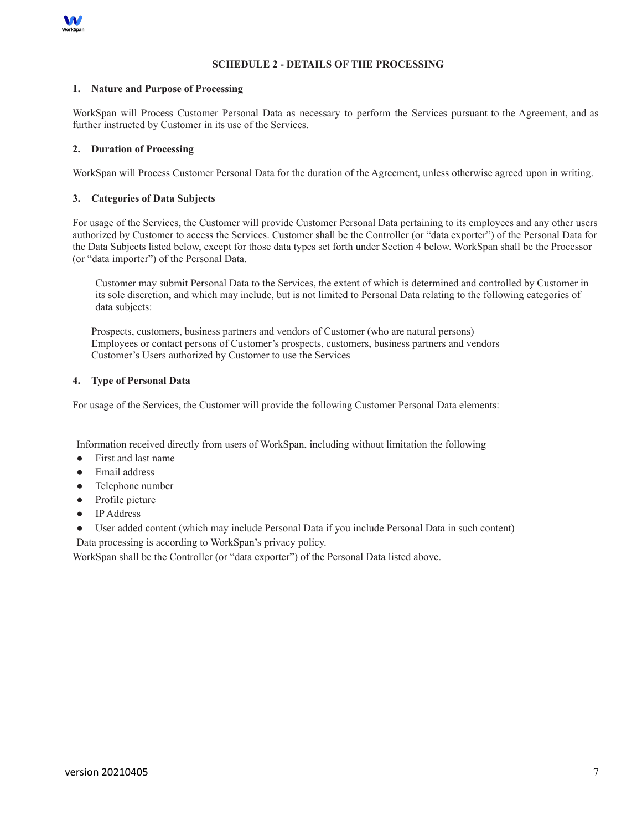

# **SCHEDULE 2 - DETAILS OF THE PROCESSING**

### **1. Nature and Purpose of Processing**

WorkSpan will Process Customer Personal Data as necessary to perform the Services pursuant to the Agreement, and as further instructed by Customer in its use of the Services.

# **2. Duration of Processing**

WorkSpan will Process Customer Personal Data for the duration of the Agreement, unless otherwise agreed upon in writing.

# **3. Categories of Data Subjects**

For usage of the Services, the Customer will provide Customer Personal Data pertaining to its employees and any other users authorized by Customer to access the Services. Customer shall be the Controller (or "data exporter") of the Personal Data for the Data Subjects listed below, except for those data types set forth under Section 4 below. WorkSpan shall be the Processor (or "data importer") of the Personal Data.

Customer may submit Personal Data to the Services, the extent of which is determined and controlled by Customer in its sole discretion, and which may include, but is not limited to Personal Data relating to the following categories of data subjects:

Prospects, customers, business partners and vendors of Customer (who are natural persons) Employees or contact persons of Customer's prospects, customers, business partners and vendors Customer's Users authorized by Customer to use the Services

## **4. Type of Personal Data**

For usage of the Services, the Customer will provide the following Customer Personal Data elements:

Information received directly from users of WorkSpan, including without limitation the following

- First and last name
- Email address
- Telephone number
- Profile picture
- IP Address
- User added content (which may include Personal Data if you include Personal Data in such content)

Data processing is according to WorkSpan's privacy policy.

WorkSpan shall be the Controller (or "data exporter") of the Personal Data listed above.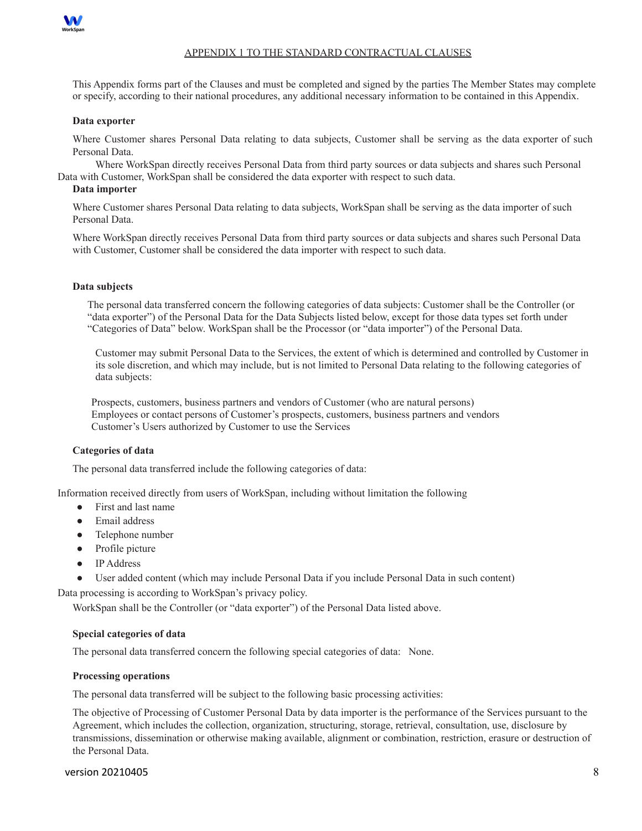

# APPENDIX 1 TO THE STANDARD CONTRACTUAL CLAUSES

This Appendix forms part of the Clauses and must be completed and signed by the parties The Member States may complete or specify, according to their national procedures, any additional necessary information to be contained in this Appendix.

#### **Data exporter**

Where Customer shares Personal Data relating to data subjects, Customer shall be serving as the data exporter of such Personal Data.

Where WorkSpan directly receives Personal Data from third party sources or data subjects and shares such Personal Data with Customer, WorkSpan shall be considered the data exporter with respect to such data.

## **Data importer**

Where Customer shares Personal Data relating to data subjects, WorkSpan shall be serving as the data importer of such Personal Data.

Where WorkSpan directly receives Personal Data from third party sources or data subjects and shares such Personal Data with Customer, Customer shall be considered the data importer with respect to such data.

#### **Data subjects**

The personal data transferred concern the following categories of data subjects: Customer shall be the Controller (or "data exporter") of the Personal Data for the Data Subjects listed below, except for those data types set forth under "Categories of Data" below. WorkSpan shall be the Processor (or "data importer") of the Personal Data.

Customer may submit Personal Data to the Services, the extent of which is determined and controlled by Customer in its sole discretion, and which may include, but is not limited to Personal Data relating to the following categories of data subjects:

Prospects, customers, business partners and vendors of Customer (who are natural persons) Employees or contact persons of Customer's prospects, customers, business partners and vendors Customer's Users authorized by Customer to use the Services

#### **Categories of data**

The personal data transferred include the following categories of data:

Information received directly from users of WorkSpan, including without limitation the following

- First and last name
- Email address
- Telephone number
- Profile picture
- IP Address
- User added content (which may include Personal Data if you include Personal Data in such content)

Data processing is according to WorkSpan's privacy policy.

WorkSpan shall be the Controller (or "data exporter") of the Personal Data listed above.

#### **Special categories of data**

The personal data transferred concern the following special categories of data: None.

### **Processing operations**

The personal data transferred will be subject to the following basic processing activities:

The objective of Processing of Customer Personal Data by data importer is the performance of the Services pursuant to the Agreement, which includes the collection, organization, structuring, storage, retrieval, consultation, use, disclosure by transmissions, dissemination or otherwise making available, alignment or combination, restriction, erasure or destruction of the Personal Data.

#### version 20210405 8